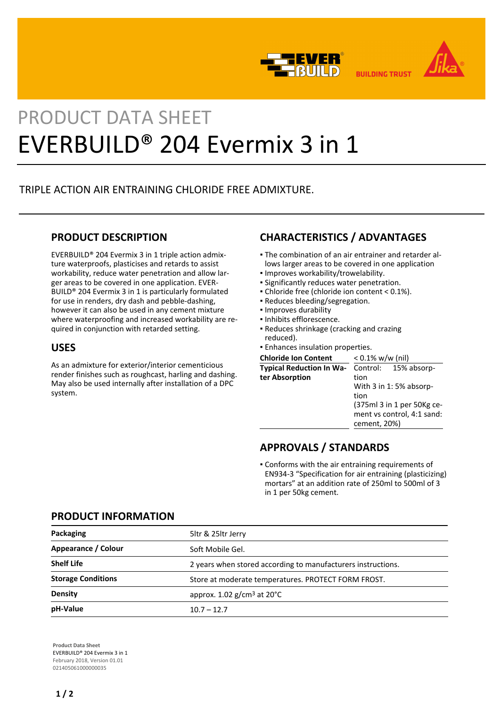



# PRODUCT DATA SHEET EVERBUILD® 204 Evermix 3 in 1

# TRIPLE ACTION AIR ENTRAINING CHLORIDE FREE ADMIXTURE.

## **PRODUCT DESCRIPTION**

EVERBUILD® 204 Evermix 3 in 1 triple action admixture waterproofs, plasticises and retards to assist workability, reduce water penetration and allow larger areas to be covered in one application. EVER-BUILD® 204 Evermix 3 in 1 is particularly formulated for use in renders, dry dash and pebble-dashing, however it can also be used in any cement mixture where waterproofing and increased workability are required in conjunction with retarded setting.

## **USES**

As an admixture for exterior/interior cementicious render finishes such as roughcast, harling and dashing. May also be used internally after installation of a DPC system.

# **CHARACTERISTICS / ADVANTAGES**

- The combination of an air entrainer and retarder al-▪ lows larger areas to be covered in one application
- Improves workability/trowelability.
- **.** Significantly reduces water penetration.
- Chloride free (chloride ion content < 0.1%).
- Reduces bleeding/segregation.
- Improves durability
- Inhibits efflorescence.
- Reduces shrinkage (cracking and crazing reduced).
- Enhances insulation properties.

| <b>Chloride Ion Content</b>                       | $< 0.1\%$ w/w (nil)                                                                                                                        |
|---------------------------------------------------|--------------------------------------------------------------------------------------------------------------------------------------------|
| <b>Typical Reduction In Wa-</b><br>ter Absorption | Control: 15% absorp-<br>tion<br>With 3 in 1:5% absorp-<br>tion<br>(375ml 3 in 1 per 50Kg ce-<br>ment vs control, 4:1 sand:<br>cement, 20%) |

## **APPROVALS / STANDARDS**

Conforms with the air entraining requirements of ▪ EN934-3 "Specification for air entraining (plasticizing) mortars" at an addition rate of 250ml to 500ml of 3 in 1 per 50kg cement.

### **PRODUCT INFORMATION**

| Packaging                 | 5ltr & 25ltr Jerry                                           |  |
|---------------------------|--------------------------------------------------------------|--|
| Appearance / Colour       | Soft Mobile Gel.                                             |  |
| <b>Shelf Life</b>         | 2 years when stored according to manufacturers instructions. |  |
| <b>Storage Conditions</b> | Store at moderate temperatures. PROTECT FORM FROST.          |  |
| <b>Density</b>            | approx. $1.02$ g/cm <sup>3</sup> at $20^{\circ}$ C           |  |
| pH-Value                  | $10.7 - 12.7$                                                |  |

**Product Data Sheet** EVERBUILD® 204 Evermix 3 in 1 February 2018, Version 01.01 021405061000000035